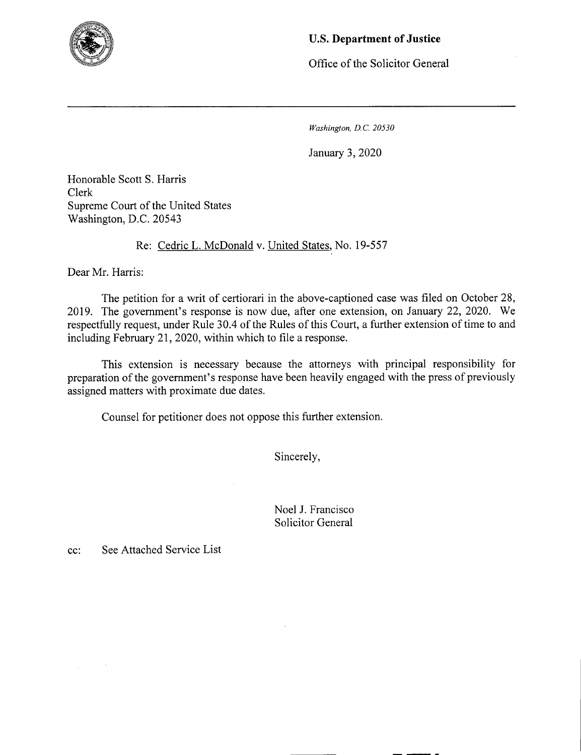

## U.S. **Department of Justice**

Office of the Solicitor General

*Washington, D.C. 20530* 

January 3, 2020

Honorable Scott S. Harris Clerk Supreme Court of the United States Washington, D.C. *20543* 

Re: Cedric L. McDonald v. United States, No. *19-557* 

Dear Mr. Harris:

The petition for a writ of certiorari in the above-captioned case was filed on October 28, 2019. The government's response is now due, after one extension, on January 22, 2020. We respectfully request, under Rule 30.4 of the Rules of this Court, a further extension of time to and including February 21, 2020, within which to file a response.

This extension is necessary because the attorneys with principal responsibility for preparation of the government's response have been heavily engaged with the press of previously assigned matters with proximate due dates.

Counsel for petitioner does not oppose this further extension.

Sincerely,

Noel J. Francisco Solicitor General

cc: See Attached Service List